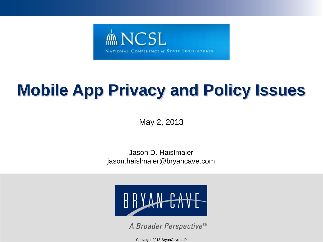

# **Mobile App Privacy and Policy Issues**

May 2, 2013

Jason D. Haislmaier jason.haislmaier@bryancave.com



A Broader Perspective<sup>SM</sup>

Copyright 2013 BryanCave LLP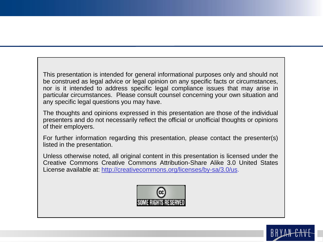This presentation is intended for general informational purposes only and should not be construed as legal advice or legal opinion on any specific facts or circumstances, nor is it intended to address specific legal compliance issues that may arise in particular circumstances. Please consult counsel concerning your own situation and any specific legal questions you may have.

The thoughts and opinions expressed in this presentation are those of the individual presenters and do not necessarily reflect the official or unofficial thoughts or opinions of their employers.

For further information regarding this presentation, please contact the presenter(s) listed in the presentation.

Unless otherwise noted, all original content in this presentation is licensed under the Creative Commons Creative Commons Attribution-Share Alike 3.0 United States License available at: http://creativecommons.org/licenses/by-sa/3.0/us.



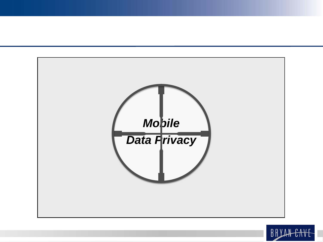

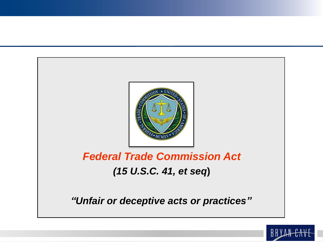

#### *Federal Trade Commission Act (15 U.S.C. 41, et seq***)**

*"Unfair or deceptive acts or practices"*

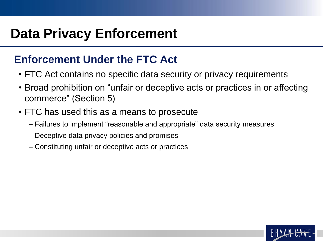#### **Enforcement Under the FTC Act**

- FTC Act contains no specific data security or privacy requirements
- Broad prohibition on "unfair or deceptive acts or practices in or affecting commerce" (Section 5)
- FTC has used this as a means to prosecute
	- Failures to implement "reasonable and appropriate" data security measures
	- Deceptive data privacy policies and promises
	- Constituting unfair or deceptive acts or practices

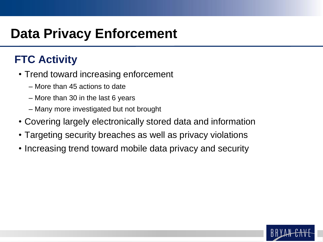### **FTC Activity**

- Trend toward increasing enforcement
	- More than 45 actions to date
	- More than 30 in the last 6 years
	- Many more investigated but not brought
- Covering largely electronically stored data and information
- Targeting security breaches as well as privacy violations
- Increasing trend toward mobile data privacy and security

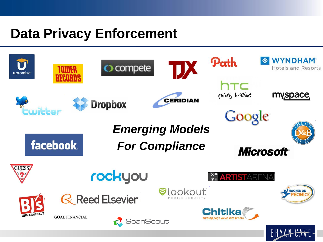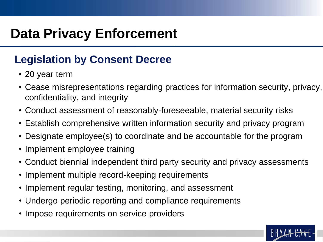#### **Legislation by Consent Decree**

- 20 year term
- Cease misrepresentations regarding practices for information security, privacy, confidentiality, and integrity
- Conduct assessment of reasonably-foreseeable, material security risks
- Establish comprehensive written information security and privacy program
- Designate employee(s) to coordinate and be accountable for the program
- Implement employee training
- Conduct biennial independent third party security and privacy assessments
- Implement multiple record-keeping requirements
- Implement regular testing, monitoring, and assessment
- Undergo periodic reporting and compliance requirements
- Impose requirements on service providers

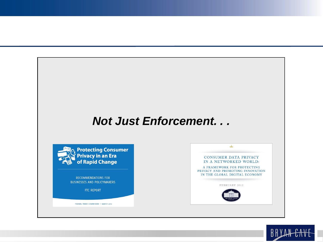#### *Not Just Enforcement. . .*



**RECOMMENDATIONS FOR BUSINESSES AND POLICYMAKERS** 

FTC REPORT

FEDERAL TRADE COMMISSION | MARCH 2012



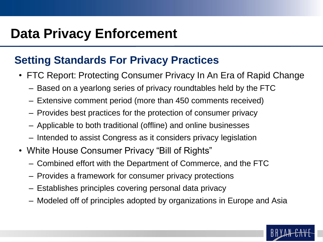#### **Setting Standards For Privacy Practices**

- FTC Report: Protecting Consumer Privacy In An Era of Rapid Change
	- Based on a yearlong series of privacy roundtables held by the FTC
	- Extensive comment period (more than 450 comments received)
	- Provides best practices for the protection of consumer privacy
	- Applicable to both traditional (offline) and online businesses
	- Intended to assist Congress as it considers privacy legislation
- White House Consumer Privacy "Bill of Rights"
	- Combined effort with the Department of Commerce, and the FTC
	- Provides a framework for consumer privacy protections
	- Establishes principles covering personal data privacy
	- Modeled off of principles adopted by organizations in Europe and Asia

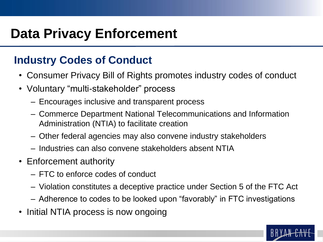#### **Industry Codes of Conduct**

- Consumer Privacy Bill of Rights promotes industry codes of conduct
- Voluntary "multi-stakeholder" process
	- Encourages inclusive and transparent process
	- Commerce Department National Telecommunications and Information Administration (NTIA) to facilitate creation
	- Other federal agencies may also convene industry stakeholders
	- Industries can also convene stakeholders absent NTIA
- Enforcement authority
	- FTC to enforce codes of conduct
	- Violation constitutes a deceptive practice under Section 5 of the FTC Act
	- Adherence to codes to be looked upon "favorably" in FTC investigations
- Initial NTIA process is now ongoing

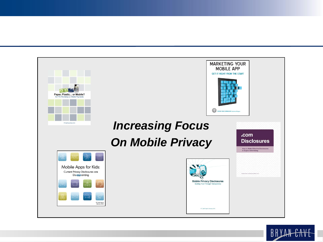

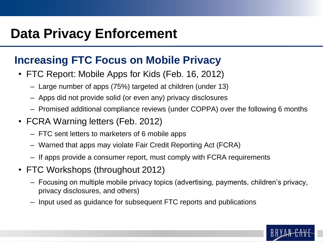#### **Increasing FTC Focus on Mobile Privacy**

- FTC Report: Mobile Apps for Kids (Feb. 16, 2012)
	- Large number of apps (75%) targeted at children (under 13)
	- Apps did not provide solid (or even any) privacy disclosures
	- Promised additional compliance reviews (under COPPA) over the following 6 months
- FCRA Warning letters (Feb. 2012)
	- FTC sent letters to marketers of 6 mobile apps
	- Warned that apps may violate Fair Credit Reporting Act (FCRA)
	- If apps provide a consumer report, must comply with FCRA requirements
- FTC Workshops (throughout 2012)
	- Focusing on multiple mobile privacy topics (advertising, payments, children's privacy, privacy disclosures, and others)
	- Input used as guidance for subsequent FTC reports and publications

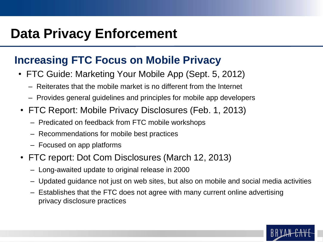#### **Increasing FTC Focus on Mobile Privacy**

- FTC Guide: Marketing Your Mobile App (Sept. 5, 2012)
	- Reiterates that the mobile market is no different from the Internet
	- Provides general guidelines and principles for mobile app developers
- FTC Report: Mobile Privacy Disclosures (Feb. 1, 2013)
	- Predicated on feedback from FTC mobile workshops
	- Recommendations for mobile best practices
	- Focused on app platforms
- FTC report: Dot Com Disclosures (March 12, 2013)
	- Long-awaited update to original release in 2000
	- Updated guidance not just on web sites, but also on mobile and social media activities
	- Establishes that the FTC does not agree with many current online advertising privacy disclosure practices

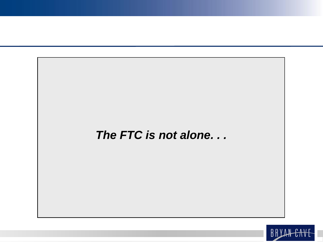

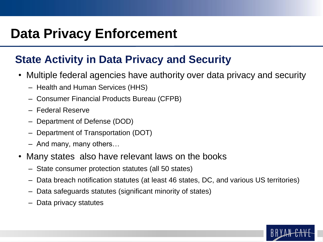#### **State Activity in Data Privacy and Security**

- Multiple federal agencies have authority over data privacy and security
	- Health and Human Services (HHS)
	- Consumer Financial Products Bureau (CFPB)
	- Federal Reserve
	- Department of Defense (DOD)
	- Department of Transportation (DOT)
	- And many, many others…
- Many states also have relevant laws on the books
	- State consumer protection statutes (all 50 states)
	- Data breach notification statutes (at least 46 states, DC, and various US territories)
	- Data safeguards statutes (significant minority of states)
	- Data privacy statutes

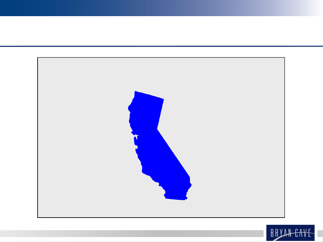

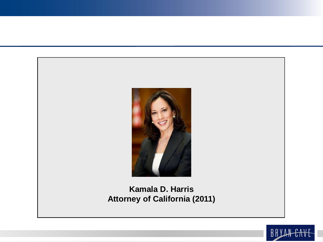

#### **Kamala D. Harris Attorney of California (2011)**

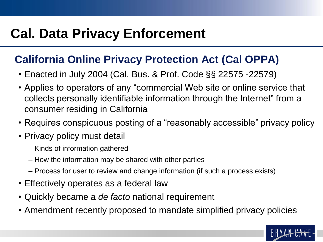#### **California Online Privacy Protection Act (Cal OPPA)**

- Enacted in July 2004 (Cal. Bus. & Prof. Code §§ 22575 -22579)
- Applies to operators of any "commercial Web site or online service that collects personally identifiable information through the Internet" from a consumer residing in California
- Requires conspicuous posting of a "reasonably accessible" privacy policy
- Privacy policy must detail
	- Kinds of information gathered
	- How the information may be shared with other parties
	- Process for user to review and change information (if such a process exists)
- Effectively operates as a federal law
- Quickly became a *de facto* national requirement
- Amendment recently proposed to mandate simplified privacy policies

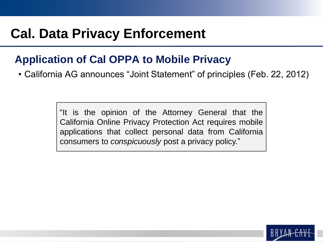#### **Application of Cal OPPA to Mobile Privacy**

• California AG announces "Joint Statement" of principles (Feb. 22, 2012)

"It is the opinion of the Attorney General that the California Online Privacy Protection Act requires mobile applications that collect personal data from California consumers to *conspicuously* post a privacy policy."

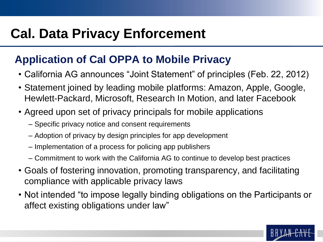#### **Application of Cal OPPA to Mobile Privacy**

- California AG announces "Joint Statement" of principles (Feb. 22, 2012)
- Statement joined by leading mobile platforms: Amazon, Apple, Google, Hewlett-Packard, Microsoft, Research In Motion, and later Facebook
- Agreed upon set of privacy principals for mobile applications
	- Specific privacy notice and consent requirements
	- Adoption of privacy by design principles for app development
	- Implementation of a process for policing app publishers
	- Commitment to work with the California AG to continue to develop best practices
- Goals of fostering innovation, promoting transparency, and facilitating compliance with applicable privacy laws
- Not intended "to impose legally binding obligations on the Participants or affect existing obligations under law"

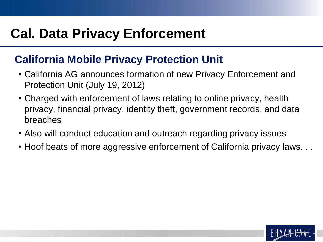#### **California Mobile Privacy Protection Unit**

- California AG announces formation of new Privacy Enforcement and Protection Unit (July 19, 2012)
- Charged with enforcement of laws relating to online privacy, health privacy, financial privacy, identity theft, government records, and data breaches
- Also will conduct education and outreach regarding privacy issues
- Hoof beats of more aggressive enforcement of California privacy laws. . .

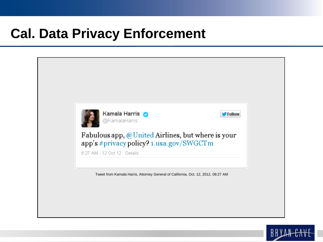

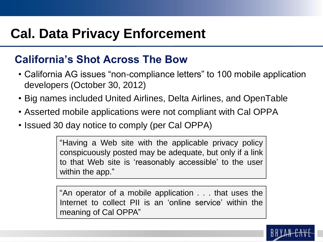#### **California's Shot Across The Bow**

- California AG issues "non-compliance letters" to 100 mobile application developers (October 30, 2012)
- Big names included United Airlines, Delta Airlines, and OpenTable
- Asserted mobile applications were not compliant with Cal OPPA
- Issued 30 day notice to comply (per Cal OPPA)

"Having a Web site with the applicable privacy policy conspicuously posted may be adequate, but only if a link to that Web site is 'reasonably accessible' to the user within the app."

"An operator of a mobile application . . . that uses the Internet to collect PII is an 'online service' within the meaning of Cal OPPA"

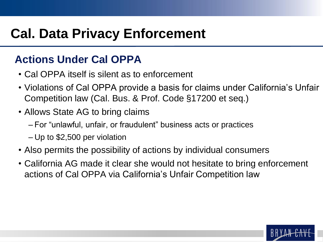#### **Actions Under Cal OPPA**

- Cal OPPA itself is silent as to enforcement
- Violations of Cal OPPA provide a basis for claims under California's Unfair Competition law (Cal. Bus. & Prof. Code §17200 et seq.)
- Allows State AG to bring claims
	- For "unlawful, unfair, or fraudulent" business acts or practices
	- Up to \$2,500 per violation
- Also permits the possibility of actions by individual consumers
- California AG made it clear she would not hesitate to bring enforcement actions of Cal OPPA via California's Unfair Competition law

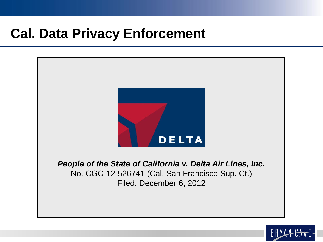

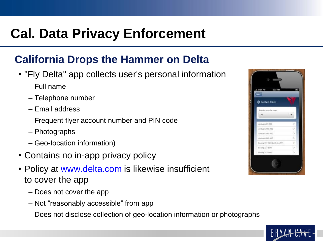#### **California Drops the Hammer on Delta**

- "Fly Delta" app collects user's personal information
	- Full name
	- Telephone number
	- Email address
	- Frequent flyer account number and PIN code
	- Photographs
	- Geo-Iocation information)
- Contains no in-app privacy policy
- Policy at www.delta.com is likewise insufficient to cover the app
	- Does not cover the app
	- Not "reasonably accessible" from app
	- Does not disclose collection of geo-location information or photographs



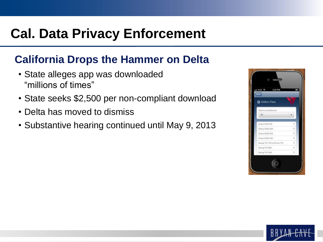#### **California Drops the Hammer on Delta**

- State alleges app was downloaded "millions of times"
- State seeks \$2,500 per non-compliant download
- Delta has moved to dismiss
- Substantive hearing continued until May 9, 2013



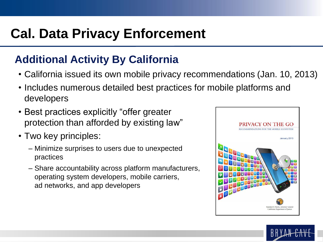#### **Additional Activity By California**

- California issued its own mobile privacy recommendations (Jan. 10, 2013)
- Includes numerous detailed best practices for mobile platforms and developers
- Best practices explicitly "offer greater protection than afforded by existing law"
- Two key principles:
	- Minimize surprises to users due to unexpected practices
	- Share accountability across platform manufacturers, operating system developers, mobile carriers, ad networks, and app developers



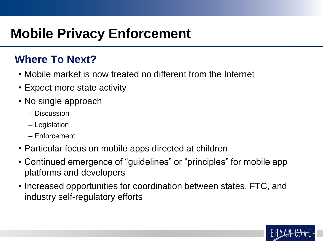### **Mobile Privacy Enforcement**

#### **Where To Next?**

- Mobile market is now treated no different from the Internet
- Expect more state activity
- No single approach
	- Discussion
	- Legislation
	- Enforcement
- Particular focus on mobile apps directed at children
- Continued emergence of "guidelines" or "principles" for mobile app platforms and developers
- Increased opportunities for coordination between states, FTC, and industry self-regulatory efforts